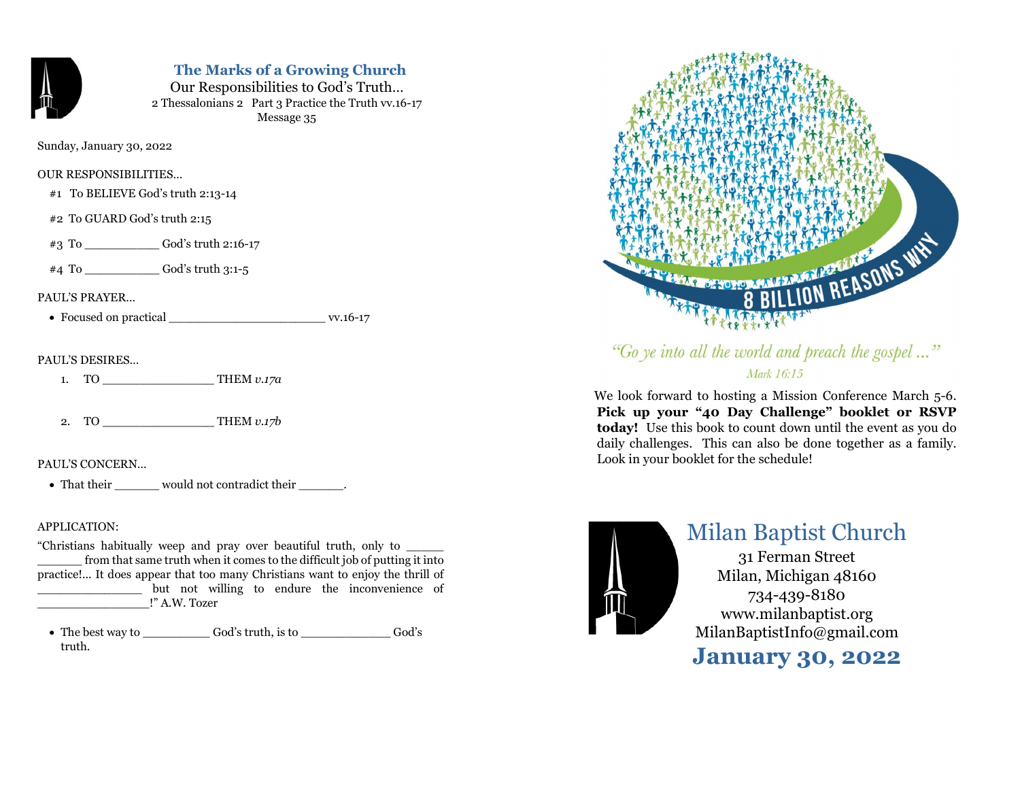

# The Marks of a Growing Church

Our Responsibilities to God's Truth… 2 Thessalonians 2 Part 3 Practice the Truth vv.16-17 Message 35

Sunday, January 30, 2022

# OUR RESPONSIBILITIES…

- #1 To BELIEVE God's truth 2:13-14
- #2 To GUARD God's truth 2:15

#3 To \_\_\_\_\_\_\_\_\_\_ God's truth 2:16-17

#4 To \_\_\_\_\_\_\_\_\_\_ God's truth 3:1-5

# PAUL'S PRAYER…

Focused on practical \_\_\_\_\_\_\_\_\_\_\_\_\_\_\_\_\_\_\_\_\_ vv.16-17

# PAUL'S DESIRES…

1. TO  $THEM v.17a$ 

2. TO THEM *v.17b* 

# PAUL'S CONCERN…

• That their would not contradict their \_\_\_\_\_\_.

# APPLICATION:

"Christians habitually weep and pray over beautiful truth, only to \_\_\_\_\_ from that same truth when it comes to the difficult job of putting it into practice!... It does appear that too many Christians want to enjoy the thrill of but not willing to endure the inconvenience of \_\_\_\_\_\_\_\_\_\_\_\_\_\_\_!" A.W. Tozer

 The best way to \_\_\_\_\_\_\_\_\_ God's truth, is to \_\_\_\_\_\_\_\_\_\_\_\_ God's truth.



"Go ye into all the world and preach the gospel..." Mark 16:15

 We look forward to hosting a Mission Conference March 5-6. Pick up your "40 Day Challenge" booklet or RSVP today! Use this book to count down until the event as you do daily challenges. This can also be done together as a family. Look in your booklet for the schedule!



# Milan Baptist Church

31 Ferman Street Milan, Michigan 48160 734-439-8180 www.milanbaptist.org MilanBaptistInfo@gmail.com

January 30, 2022